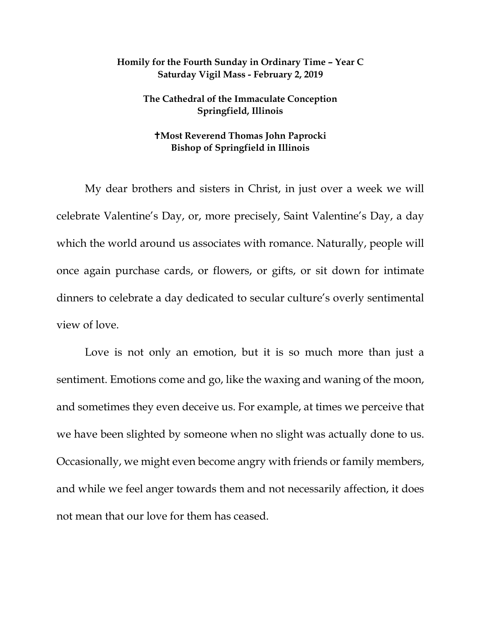## **Homily for the Fourth Sunday in Ordinary Time – Year C Saturday Vigil Mass - February 2, 2019**

## **The Cathedral of the Immaculate Conception Springfield, Illinois**

## **Most Reverend Thomas John Paprocki Bishop of Springfield in Illinois**

My dear brothers and sisters in Christ, in just over a week we will celebrate Valentine's Day, or, more precisely, Saint Valentine's Day, a day which the world around us associates with romance. Naturally, people will once again purchase cards, or flowers, or gifts, or sit down for intimate dinners to celebrate a day dedicated to secular culture's overly sentimental view of love.

Love is not only an emotion, but it is so much more than just a sentiment. Emotions come and go, like the waxing and waning of the moon, and sometimes they even deceive us. For example, at times we perceive that we have been slighted by someone when no slight was actually done to us. Occasionally, we might even become angry with friends or family members, and while we feel anger towards them and not necessarily affection, it does not mean that our love for them has ceased.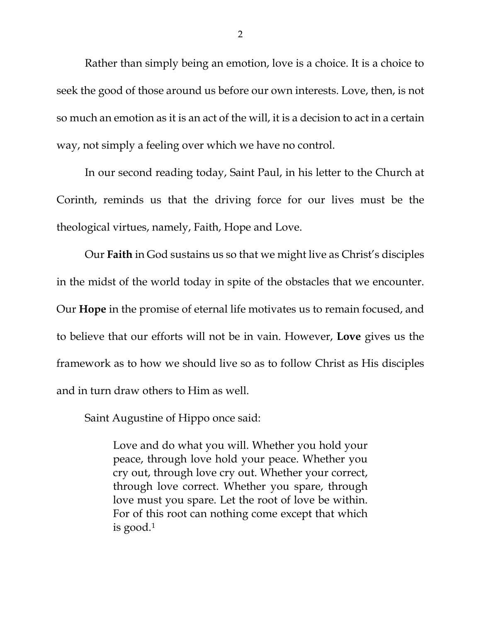Rather than simply being an emotion, love is a choice. It is a choice to seek the good of those around us before our own interests. Love, then, is not so much an emotion as it is an act of the will, it is a decision to act in a certain way, not simply a feeling over which we have no control.

In our second reading today, Saint Paul, in his letter to the Church at Corinth, reminds us that the driving force for our lives must be the theological virtues, namely, Faith, Hope and Love.

Our **Faith** in God sustains us so that we might live as Christ's disciples in the midst of the world today in spite of the obstacles that we encounter. Our **Hope** in the promise of eternal life motivates us to remain focused, and to believe that our efforts will not be in vain. However, **Love** gives us the framework as to how we should live so as to follow Christ as His disciples and in turn draw others to Him as well.

Saint Augustine of Hippo once said:

Love and do what you will. Whether you hold your peace, through love hold your peace. Whether you cry out, through love cry out. Whether your correct, through love correct. Whether you spare, through love must you spare. Let the root of love be within. For of this root can nothing come except that which is good.[1](#page-2-0)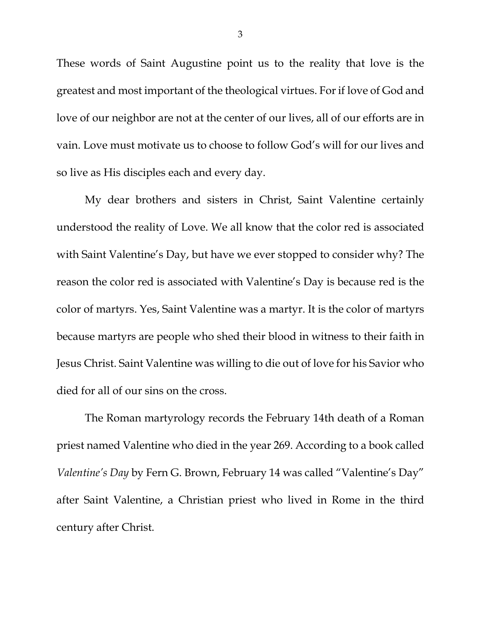These words of Saint Augustine point us to the reality that love is the greatest and most important of the theological virtues. Forif love of God and love of our neighbor are not at the center of our lives, all of our efforts are in vain. Love must motivate us to choose to follow God's will for our lives and so live as His disciples each and every day.

<span id="page-2-1"></span><span id="page-2-0"></span>My dear brothers and sisters in Christ, Saint Valentine certainly understood the reality of Love. We all know that the color red is associated with Saint Valentine's Day, but have we ever stopped to consider why? The reason the color red is associated with Valentine's Day is because red is the color of martyrs. Yes, Saint Valentine was a martyr. It is the color of martyrs because martyrs are people who shed their blood in witness to their faith in Jesus Christ. Saint Valentine was willing to die out of love for his Savior who died for all of our sins on the cross.

The Roman martyrology records the February 14th death of a Roman priest named Valentine who died in the year 269. According to a book called *Valentine's Day* by Fern G. Brown, February 14 was called "Valentine's Day" after Saint Valentine, a Christian priest who lived in Rome in the third century after Christ.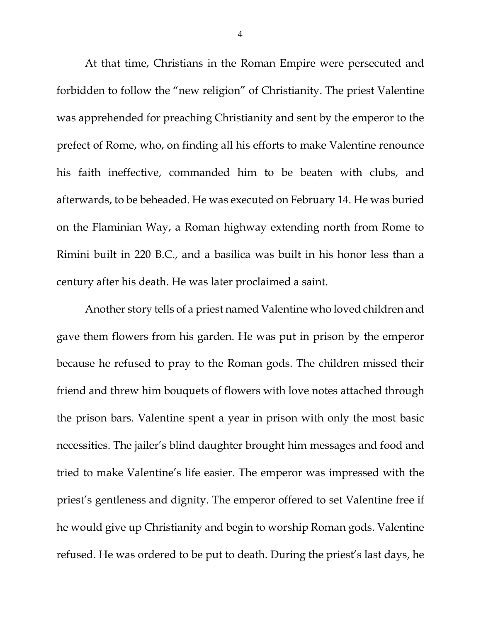At that time, Christians in the Roman Empire were persecuted and forbidden to follow the "new religion" of Christianity. The priest Valentine was apprehended for preaching Christianity and sent by the emperor to the prefect of Rome, who, on finding all his efforts to make Valentine renounce his faith ineffective, commanded him to be beaten with clubs, and afterwards, to be beheaded. He was executed on February 14. He was buried on the Flaminian Way, a Roman highway extending north from Rome to Rimini built in 220 B.C., and a basilica was built in his honor less than a century after his death. He was later proclaimed a saint.

Another story tells of a priest named Valentine who loved children and gave them flowers from his garden. He was put in prison by the emperor because he refused to pray to the Roman gods. The children missed their friend and threw him bouquets of flowers with love notes attached through the prison bars. Valentine spent a year in prison with only the most basic necessities. The jailer's blind daughter brought him messages and food and tried to make Valentine's life easier. The emperor was impressed with the priest's gentleness and dignity. The emperor offered to set Valentine free if he would give up Christianity and begin to worship Roman gods. Valentine refused. He was ordered to be put to death. During the priest's last days, he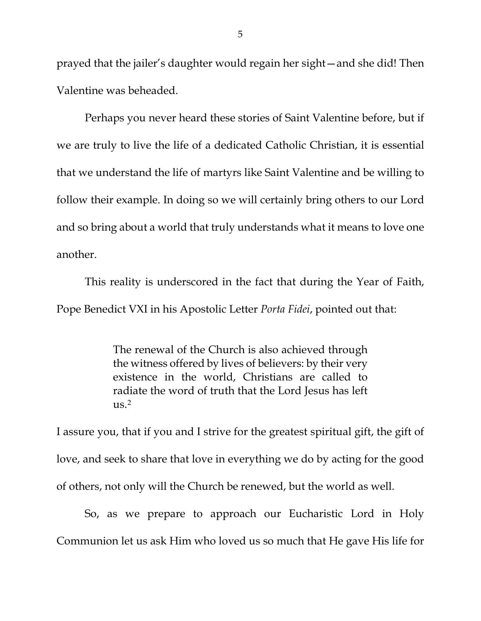prayed that the jailer's daughter would regain her sight—and she did! Then Valentine was beheaded.

Perhaps you never heard these stories of Saint Valentine before, but if we are truly to live the life of a dedicated Catholic Christian, it is essential that we understand the life of martyrs like Saint Valentine and be willing to follow their example. In doing so we will certainly bring others to our Lord and so bring about a world that truly understands what it means to love one another.

This reality is underscored in the fact that during the Year of Faith, Pope Benedict VXI in his Apostolic Letter *Porta Fidei*, pointed out that:

> The renewal of the Church is also achieved through the witness offered by lives of believers: by their very existence in the world, Christians are called to radiate the word of truth that the Lord Jesus has left  $\text{us.}^2$

I assure you, that if you and I strive for the greatest spiritual gift, the gift of love, and seek to share that love in everything we do by acting for the good of others, not only will the Church be renewed, but the world as well.

So, as we prepare to approach our Eucharistic Lord in Holy Communion let us ask Him who loved us so much that He gave His life for